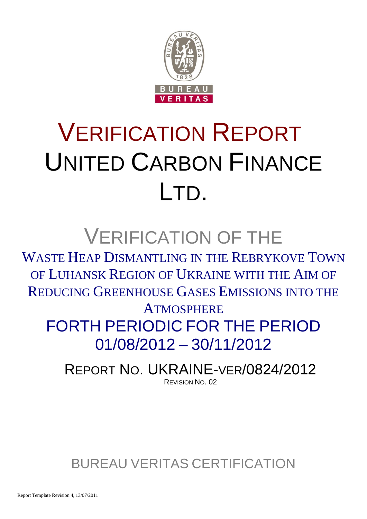

# VERIFICATION REPORT UNITED CARBON FINANCE LTD.

## VERIFICATION OF THE

WASTE HEAP DISMANTLING IN THE REBRYKOVE TOWN OF LUHANSK REGION OF UKRAINE WITH THE AIM OF REDUCING GREENHOUSE GASES EMISSIONS INTO THE

**ATMOSPHERE** FORTH PERIODIC FOR THE PERIOD 01/08/2012 – 30/11/2012

REPORT NO. UKRAINE-VER/0824/2012 REVISION NO. 02

BUREAU VERITAS CERTIFICATION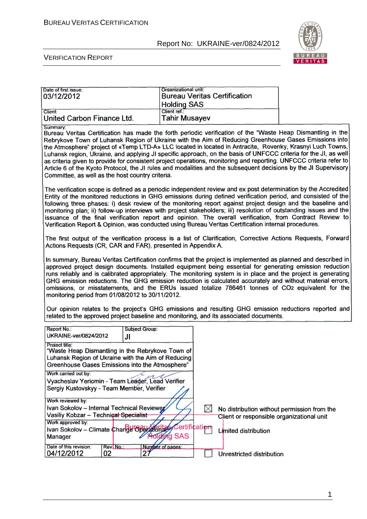

#### VERIFICATION REPORT

| Date of first issue:<br>03/12/2012                                                                                                                                                                                                                                                                   |                      | Organizational unit:<br><b>Bureau Veritas Certification</b><br><b>Holding SAS</b> |               |                                           |                                                                                                                                                                                                                                                                                                                                                                                                                                                                                                                                                                                                                                                                                              |
|------------------------------------------------------------------------------------------------------------------------------------------------------------------------------------------------------------------------------------------------------------------------------------------------------|----------------------|-----------------------------------------------------------------------------------|---------------|-------------------------------------------|----------------------------------------------------------------------------------------------------------------------------------------------------------------------------------------------------------------------------------------------------------------------------------------------------------------------------------------------------------------------------------------------------------------------------------------------------------------------------------------------------------------------------------------------------------------------------------------------------------------------------------------------------------------------------------------------|
| Client:<br>United Carbon Finance Ltd.                                                                                                                                                                                                                                                                |                      | Client ref.:<br><b>Tahir Musayev</b>                                              |               |                                           |                                                                                                                                                                                                                                                                                                                                                                                                                                                                                                                                                                                                                                                                                              |
| Summary:<br>Committee, as well as the host country criteria.                                                                                                                                                                                                                                         |                      |                                                                                   |               |                                           | Bureau Veritas Certification has made the forth periodic verification of the "Waste Heap Dismantling in the<br>Rebrykove Town of Luhansk Region of Ukraine with the Aim of Reducing Greenhouse Gases Emissions into<br>the Atmosphere" project of «Temp LTD-A» LLC located in located in Antracite, Rovenky, Krasnyi Luch Towns,<br>Luhansk region, Ukraine, and applying JI specific approach, on the basis of UNFCCC criteria for the JI, as well<br>as criteria given to provide for consistent project operations, monitoring and reporting. UNFCCC criteria refer to<br>Article 6 of the Kyoto Protocol, the JI rules and modalities and the subsequent decisions by the JI Supervisory |
| Verification Report & Opinion, was conducted using Bureau Veritas Certification internal procedures.                                                                                                                                                                                                 |                      |                                                                                   |               |                                           | The verification scope is defined as a periodic independent review and ex post determination by the Accredited<br>Entity of the monitored reductions in GHG emissions during defined verification period, and consisted of the<br>following three phases: i) desk review of the monitoring report against project design and the baseline and<br>monitoring plan; ii) follow-up interviews with project stakeholders; iii) resolution of outstanding issues and the<br>issuance of the final verification report and opinion. The overall verification, from Contract Review to                                                                                                              |
| Actions Requests (CR, CAR and FAR), presented in Appendix A.                                                                                                                                                                                                                                         |                      |                                                                                   |               |                                           | The first output of the verification process is a list of Clarification, Corrective Actions Requests, Forward                                                                                                                                                                                                                                                                                                                                                                                                                                                                                                                                                                                |
| monitoring period from 01/08/2012 to 30/11/2012.                                                                                                                                                                                                                                                     |                      |                                                                                   |               |                                           | In summary, Bureau Veritas Certification confirms that the project is implemented as planned and described in<br>approved project design documents. Installed equipment being essential for generating emission reduction<br>runs reliably and is calibrated appropriately. The monitoring system is in place and the project is generating<br>GHG emission reductions. The GHG emission reduction is calculated accurately and without material errors,<br>omissions, or misstatements, and the ERUs issued totalize 786461 tonnes of CO2 equivalent for the                                                                                                                                |
| related to the approved project baseline and monitoring, and its associated documents.                                                                                                                                                                                                               |                      |                                                                                   |               |                                           | Our opinion relates to the project's GHG emissions and resulting GHG emission reductions reported and                                                                                                                                                                                                                                                                                                                                                                                                                                                                                                                                                                                        |
| Report No.:<br><b>UKRAINE-ver/0824/2012</b>                                                                                                                                                                                                                                                          | Subject Group:<br>JI |                                                                                   |               |                                           |                                                                                                                                                                                                                                                                                                                                                                                                                                                                                                                                                                                                                                                                                              |
| Project title:<br>"Waste Heap Dismantling in the Rebrykove Town of<br>Luhansk Region of Ukraine with the Aim of Reducing<br>Greenhouse Gases Emissions into the Atmosphere"<br>Work carried out by:<br>Vyacheslav Yeriomin - Team Leader, Lead Verifier<br>Sergiy Kustovskyy - Team Member, Verifier |                      |                                                                                   |               |                                           |                                                                                                                                                                                                                                                                                                                                                                                                                                                                                                                                                                                                                                                                                              |
| Work reviewed by:<br>Ivan Sokolov - Internal Technical Reviewer                                                                                                                                                                                                                                      |                      |                                                                                   | $\bowtie$     |                                           | No distribution without permission from the                                                                                                                                                                                                                                                                                                                                                                                                                                                                                                                                                                                                                                                  |
| Vasiliy Kobzar - Technical Specialist                                                                                                                                                                                                                                                                |                      |                                                                                   |               | Client or responsible organizational unit |                                                                                                                                                                                                                                                                                                                                                                                                                                                                                                                                                                                                                                                                                              |
| Work approved by:<br>Ivan Sokolov - Climate Change Operational<br>Manager                                                                                                                                                                                                                            |                      | Holding SAS                                                                       | Certification | Limited distribution                      |                                                                                                                                                                                                                                                                                                                                                                                                                                                                                                                                                                                                                                                                                              |
| Date of this revision:<br>04/12/2012<br>02                                                                                                                                                                                                                                                           | Rev.No.:             | Number of pages:<br>27                                                            |               | Unrestricted distribution                 |                                                                                                                                                                                                                                                                                                                                                                                                                                                                                                                                                                                                                                                                                              |

1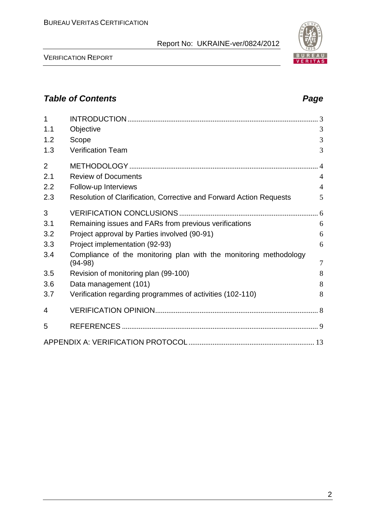VERIFICATION REPORT

| 1              |                                                                                | 3              |
|----------------|--------------------------------------------------------------------------------|----------------|
| 1.1            | Objective                                                                      | 3              |
| 1.2            | Scope                                                                          | 3              |
| 1.3            | <b>Verification Team</b>                                                       | 3              |
| $\overline{2}$ |                                                                                |                |
| 2.1            | <b>Review of Documents</b>                                                     | $\overline{4}$ |
| 2.2            | Follow-up Interviews                                                           | $\overline{4}$ |
| 2.3            | Resolution of Clarification, Corrective and Forward Action Requests            | 5              |
| 3              |                                                                                |                |
| 3.1            | Remaining issues and FARs from previous verifications                          | 6              |
| 3.2            | Project approval by Parties involved (90-91)                                   | 6              |
| 3.3            | Project implementation (92-93)                                                 | 6              |
| 3.4            | Compliance of the monitoring plan with the monitoring methodology<br>$(94-98)$ | $\overline{7}$ |
| 3.5            | Revision of monitoring plan (99-100)                                           | 8              |
| 3.6            | Data management (101)                                                          | 8              |
| 3.7            | Verification regarding programmes of activities (102-110)                      | 8              |
| 4              |                                                                                |                |
| 5              |                                                                                |                |
|                |                                                                                |                |

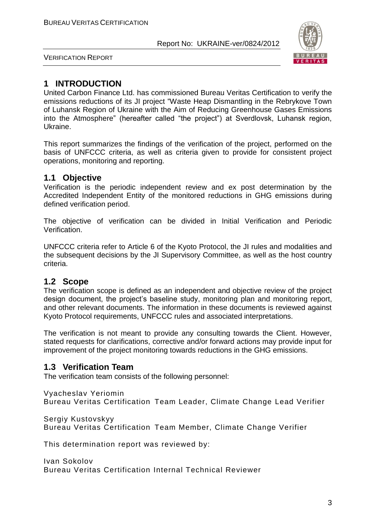

VERIFICATION REPORT

#### **1 INTRODUCTION**

United Carbon Finance Ltd. has commissioned Bureau Veritas Certification to verify the emissions reductions of its JI project "Waste Heap Dismantling in the Rebrykove Town of Luhansk Region of Ukraine with the Aim of Reducing Greenhouse Gases Emissions into the Atmosphere" (hereafter called "the project") at Sverdlovsk, Luhansk region, Ukraine.

This report summarizes the findings of the verification of the project, performed on the basis of UNFCCC criteria, as well as criteria given to provide for consistent project operations, monitoring and reporting.

#### **1.1 Objective**

Verification is the periodic independent review and ex post determination by the Accredited Independent Entity of the monitored reductions in GHG emissions during defined verification period.

The objective of verification can be divided in Initial Verification and Periodic Verification.

UNFCCC criteria refer to Article 6 of the Kyoto Protocol, the JI rules and modalities and the subsequent decisions by the JI Supervisory Committee, as well as the host country criteria.

#### **1.2 Scope**

The verification scope is defined as an independent and objective review of the project design document, the project's baseline study, monitoring plan and monitoring report, and other relevant documents. The information in these documents is reviewed against Kyoto Protocol requirements, UNFCCC rules and associated interpretations.

The verification is not meant to provide any consulting towards the Client. However, stated requests for clarifications, corrective and/or forward actions may provide input for improvement of the project monitoring towards reductions in the GHG emissions.

#### **1.3 Verification Team**

The verification team consists of the following personnel:

Vyacheslav Yeriomin Bureau Veritas Certification Team Leader, Climate Change Lead Verifier

Sergiy Kustovskyy

Bureau Veritas Certification Team Member, Climate Change Verifier

This determination report was reviewed by:

Ivan Sokolov Bureau Veritas Certification Internal Technical Reviewer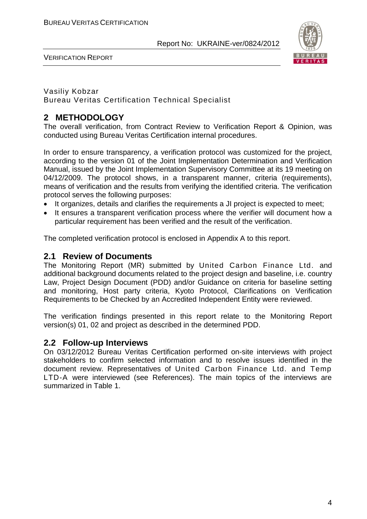



#### Vasiliy Kobzar Bureau Veritas Certification Technical Specialist

#### **2 METHODOLOGY**

The overall verification, from Contract Review to Verification Report & Opinion, was conducted using Bureau Veritas Certification internal procedures.

In order to ensure transparency, a verification protocol was customized for the project, according to the version 01 of the Joint Implementation Determination and Verification Manual, issued by the Joint Implementation Supervisory Committee at its 19 meeting on 04/12/2009. The protocol shows, in a transparent manner, criteria (requirements), means of verification and the results from verifying the identified criteria. The verification protocol serves the following purposes:

- It organizes, details and clarifies the requirements a JI project is expected to meet;
- It ensures a transparent verification process where the verifier will document how a particular requirement has been verified and the result of the verification.

The completed verification protocol is enclosed in Appendix A to this report.

#### **2.1 Review of Documents**

The Monitoring Report (MR) submitted by United Carbon Finance Ltd. and additional background documents related to the project design and baseline, i.e. country Law, Project Design Document (PDD) and/or Guidance on criteria for baseline setting and monitoring, Host party criteria, Kyoto Protocol, Clarifications on Verification Requirements to be Checked by an Accredited Independent Entity were reviewed.

The verification findings presented in this report relate to the Monitoring Report version(s) 01, 02 and project as described in the determined PDD.

#### **2.2 Follow-up Interviews**

On 03/12/2012 Bureau Veritas Certification performed on-site interviews with project stakeholders to confirm selected information and to resolve issues identified in the document review. Representatives of United Carbon Finance Ltd. and Temp LTD-A were interviewed (see References). The main topics of the interviews are summarized in Table 1.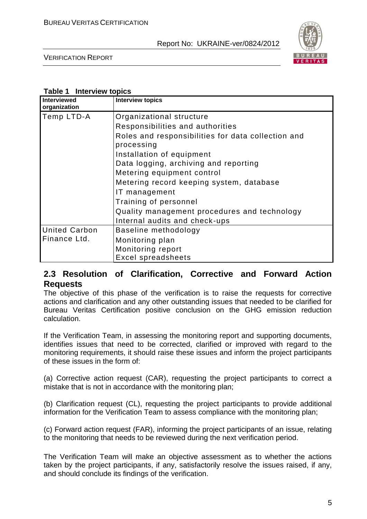

VERIFICATION REPORT

#### **Table 1 Interview topics**

| Interviewed<br>organization | <b>Interview topics</b>                                          |
|-----------------------------|------------------------------------------------------------------|
| Temp LTD-A                  | Organizational structure                                         |
|                             | Responsibilities and authorities                                 |
|                             | Roles and responsibilities for data collection and<br>processing |
|                             | Installation of equipment                                        |
|                             | Data logging, archiving and reporting                            |
|                             | Metering equipment control                                       |
|                             | Metering record keeping system, database                         |
|                             | IT management                                                    |
|                             | Training of personnel                                            |
|                             | Quality management procedures and technology                     |
|                             | Internal audits and check-ups                                    |
| <b>United Carbon</b>        | Baseline methodology                                             |
| Finance Ltd.                | Monitoring plan                                                  |
|                             | Monitoring report                                                |
|                             | <b>Excel spreadsheets</b>                                        |

#### **2.3 Resolution of Clarification, Corrective and Forward Action Requests**

The objective of this phase of the verification is to raise the requests for corrective actions and clarification and any other outstanding issues that needed to be clarified for Bureau Veritas Certification positive conclusion on the GHG emission reduction calculation.

If the Verification Team, in assessing the monitoring report and supporting documents, identifies issues that need to be corrected, clarified or improved with regard to the monitoring requirements, it should raise these issues and inform the project participants of these issues in the form of:

(a) Corrective action request (CAR), requesting the project participants to correct a mistake that is not in accordance with the monitoring plan;

(b) Clarification request (CL), requesting the project participants to provide additional information for the Verification Team to assess compliance with the monitoring plan;

(c) Forward action request (FAR), informing the project participants of an issue, relating to the monitoring that needs to be reviewed during the next verification period.

The Verification Team will make an objective assessment as to whether the actions taken by the project participants, if any, satisfactorily resolve the issues raised, if any, and should conclude its findings of the verification.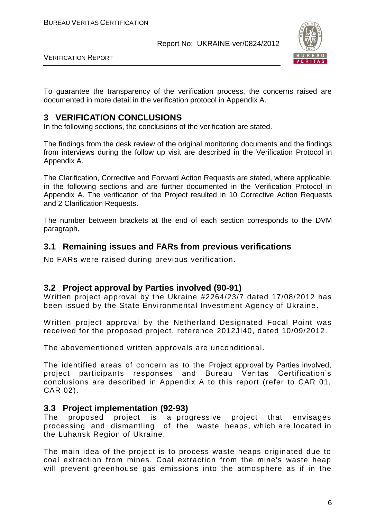

VERIFICATION REPORT

To guarantee the transparency of the verification process, the concerns raised are documented in more detail in the verification protocol in Appendix A.

#### **3 VERIFICATION CONCLUSIONS**

In the following sections, the conclusions of the verification are stated.

The findings from the desk review of the original monitoring documents and the findings from interviews during the follow up visit are described in the Verification Protocol in Appendix A.

The Clarification, Corrective and Forward Action Requests are stated, where applicable, in the following sections and are further documented in the Verification Protocol in Appendix A. The verification of the Project resulted in 10 Corrective Action Requests and 2 Clarification Requests.

The number between brackets at the end of each section corresponds to the DVM paragraph.

#### **3.1 Remaining issues and FARs from previous verifications**

No FARs were raised during previous verification.

#### **3.2 Project approval by Parties involved (90-91)**

Written project approval by the Ukraine #2264/23/7 dated 17/08/2012 has been issued by the State Environmental Investment Agency of Ukraine.

Written project approval by the Netherland Designated Focal Point was received for the proposed project, reference 2012JI40, dated 10/09/2012.

The abovementioned written approvals are unconditional.

The identified areas of concern as to the Project approval by Parties involved, project participants responses and Bureau Veritas Certification's conclusions are described in Appendix A to this report (refer to CAR 01, CAR 02).

#### **3.3 Project implementation (92-93)**

The proposed project is a progressive project that envisages processing and dismantling of the waste heaps, which are located in the Luhansk Region of Ukraine.

The main idea of the project is to process waste heaps originated due to coal extraction from mines. Coal extraction from the mine's waste heap will prevent greenhouse gas emissions into the atmosphere as if in the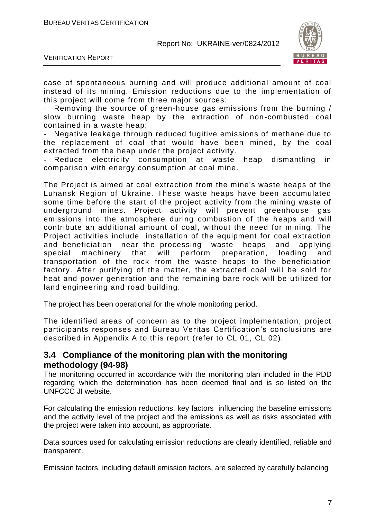

VERIFICATION REPORT

case of spontaneous burning and will produce additional amount of coal instead of its mining. Emission reductions due to the implementation of this project will come from three major sources:

Removing the source of green-house gas emissions from the burning / slow burning waste heap by the extraction of non -combusted coal contained in a waste heap;

Negative leakage through reduced fugitive emissions of methane due to the replacement of coal that would have been mined, by the coal extracted from the heap under the project activity.

Reduce electricity consumption at waste heap dismantling in comparison with energy consumption at coal mine.

The Project is aimed at coal extraction from the mine's waste heaps of the Luhansk Region of Ukraine. These waste heaps have been accumulated some time before the start of the project activity from the mining waste of underground mines. Project activity will prevent greenhouse gas emissions into the atmosphere during combustion of the heaps and will contribute an additional amount of coal, without the need for mining. The Project activities include installation of the equipment for coal extraction and beneficiation near the processing waste heaps and applying special machinery that will perform preparation, loading and transportation of the rock from the waste heaps to the beneficiation factory. After purifying of the matter, the extracted coal will be sold for heat and power generation and the remaining bare rock will be utilized for land engineering and road building.

The project has been operational for the whole monitoring period.

The identified areas of concern as to the project implementation, project participants responses and Bureau Veritas Certification's conclusions are described in Appendix A to this report (refer to CL 01, CL 02).

#### **3.4 Compliance of the monitoring plan with the monitoring methodology (94-98)**

The monitoring occurred in accordance with the monitoring plan included in the PDD regarding which the determination has been deemed final and is so listed on the UNFCCC JI website.

For calculating the emission reductions, key factors influencing the baseline emissions and the activity level of the project and the emissions as well as risks associated with the project were taken into account, as appropriate.

Data sources used for calculating emission reductions are clearly identified, reliable and transparent.

Emission factors, including default emission factors, are selected by carefully balancing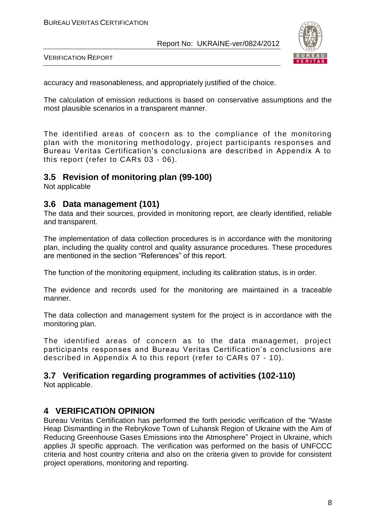

VERIFICATION REPORT

accuracy and reasonableness, and appropriately justified of the choice.

The calculation of emission reductions is based on conservative assumptions and the most plausible scenarios in a transparent manner.

The identified areas of concern as to the compliance of the monitoring plan with the monitoring methodology, project participants responses and Bureau Veritas Certification's conclusions are described in Appendix A to this report (refer to CARs 03 - 06).

#### **3.5 Revision of monitoring plan (99-100)**

Not applicable

#### **3.6 Data management (101)**

The data and their sources, provided in monitoring report, are clearly identified, reliable and transparent.

The implementation of data collection procedures is in accordance with the monitoring plan, including the quality control and quality assurance procedures. These procedures are mentioned in the section "References" of this report.

The function of the monitoring equipment, including its calibration status, is in order.

The evidence and records used for the monitoring are maintained in a traceable manner.

The data collection and management system for the project is in accordance with the monitoring plan.

The identified areas of concern as to the data managemet, project participants responses and Bureau Veritas Certification's conclusions are described in Appendix A to this report (refer to CARs 07 - 10).

#### **3.7 Verification regarding programmes of activities (102-110)**

Not applicable.

#### **4 VERIFICATION OPINION**

Bureau Veritas Certification has performed the forth periodic verification of the "Waste Heap Dismantling in the Rebrykove Town of Luhansk Region of Ukraine with the Aim of Reducing Greenhouse Gases Emissions into the Atmosphere" Project in Ukraine, which applies JI specific approach. The verification was performed on the basis of UNFCCC criteria and host country criteria and also on the criteria given to provide for consistent project operations, monitoring and reporting.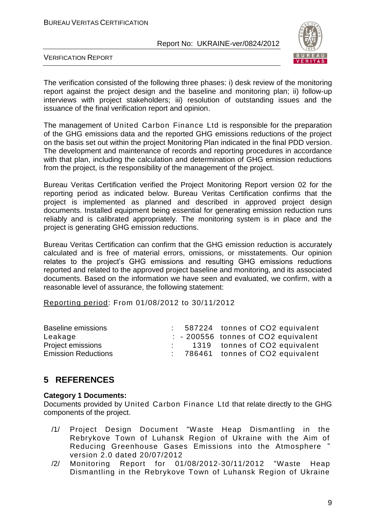

VERIFICATION REPORT

The verification consisted of the following three phases: i) desk review of the monitoring report against the project design and the baseline and monitoring plan; ii) follow-up interviews with project stakeholders; iii) resolution of outstanding issues and the issuance of the final verification report and opinion.

The management of United Carbon Finance Ltd is responsible for the preparation of the GHG emissions data and the reported GHG emissions reductions of the project on the basis set out within the project Monitoring Plan indicated in the final PDD version. The development and maintenance of records and reporting procedures in accordance with that plan, including the calculation and determination of GHG emission reductions from the project, is the responsibility of the management of the project.

Bureau Veritas Certification verified the Project Monitoring Report version 02 for the reporting period as indicated below. Bureau Veritas Certification confirms that the project is implemented as planned and described in approved project design documents. Installed equipment being essential for generating emission reduction runs reliably and is calibrated appropriately. The monitoring system is in place and the project is generating GHG emission reductions.

Bureau Veritas Certification can confirm that the GHG emission reduction is accurately calculated and is free of material errors, omissions, or misstatements. Our opinion relates to the project's GHG emissions and resulting GHG emissions reductions reported and related to the approved project baseline and monitoring, and its associated documents. Based on the information we have seen and evaluated, we confirm, with a reasonable level of assurance, the following statement:

Reporting period: From 01/08/2012 to 30/11/2012

| <b>Baseline emissions</b>  |  | : 587224 tonnes of CO2 equivalent              |
|----------------------------|--|------------------------------------------------|
| Leakage                    |  | $\therefore$ - 200556 tonnes of CO2 equivalent |
| <b>Project emissions</b>   |  | 1319 tonnes of CO2 equivalent                  |
| <b>Emission Reductions</b> |  | : 786461 tonnes of CO2 equivalent              |

#### **5 REFERENCES**

#### **Category 1 Documents:**

Documents provided by United Carbon Finance Ltd that relate directly to the GHG components of the project.

- /1/ Project Design Document "Waste Heap Dismantling in the Rebrykove Town of Luhansk Region of Ukraine with the Aim of Reducing Greenhouse Gases Emissions into the Atmosphere " version 2.0 dated 20/07/2012
- /2/ Monitoring Report for 01/08/2012-30/11/2012 "Waste Heap Dismantling in the Rebrykove Town of Luhansk Region of Ukraine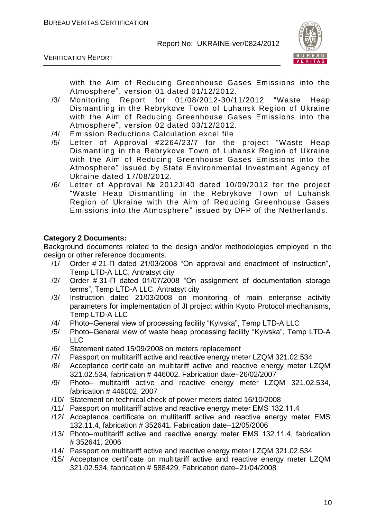

VERIFICATION REPORT

with the Aim of Reducing Greenhouse Gases Emissions into the Atmosphere", version 01 dated 01/12/2012.

- /3/ Monitoring Report for 01/08/2012-30/11/2012 "Waste Heap Dismantling in the Rebrykove Town of Luhansk Region of Ukraine with the Aim of Reducing Greenhouse Gases Emissions into the Atmosphere", version 02 dated 03/12/2012.
- /4/ Emission Reductions Calculation excel file
- /5/ Letter of Approval #2264/23/7 for the project "Waste Heap Dismantling in the Rebrykove Town of Luhansk Region of Ukraine with the Aim of Reducing Greenhouse Gases Emissions into the Atmosphere" issued by State Environmental Investment Agency of Ukraine dated 17/08/2012.
- /6/ Letter of Approval № 2012JI40 dated 10/09/2012 for the project "Waste Heap Dismantling in the Rebrykove Town of Luhansk Region of Ukraine with the Aim of Reducing Greenhouse Gases Emissions into the Atmosphere" issued by DFP of the Netherlands.

#### **Category 2 Documents:**

Background documents related to the design and/or methodologies employed in the design or other reference documents.

- /1/ Order # 21-П dated 21/03/2008 "On approval and enactment of instruction", Temp LTD-A LLC, Antratsyt city
- /2/ Order # 31-П dated 01/07/2008 "On assignment of documentation storage terms", Temp LTD-A LLC, Antratsyt city
- /3/ Instruction dated 21/03/2008 on monitoring of main enterprise activity parameters for implementation of JI project within Kyoto Protocol mechanisms, Temp LTD-A LLC
- /4/ Photo–General view of processing facility "Kyivska", Temp LTD-A LLC
- /5/ Photo–General view of waste heap processing facility "Kyivska", Temp LTD-A LLC
- /6/ Statement dated 15/09/2008 on meters replacement
- /7/ Passport on multitariff active and reactive energy meter LZQM 321.02.534
- /8/ Acceptance certificate on multitariff active and reactive energy meter LZQM 321.02.534, fabrication # 446002. Fabrication date–26/02/2007
- /9/ Photo– multitariff active and reactive energy meter LZQM 321.02.534, fabrication # 446002, 2007
- /10/ Statement on technical check of power meters dated 16/10/2008
- /11/ Passport on multitariff active and reactive energy meter ЕМS 132.11.4
- /12/ Acceptance certificate on multitariff active and reactive energy meter ЕМS 132.11.4, fabrication # 352641. Fabrication date–12/05/2006
- /13/ Photo–multitariff active and reactive energy meter ЕМS 132.11.4, fabrication # 352641, 2006
- /14/ Passport on multitariff active and reactive energy meter LZQM 321.02.534
- /15/ Acceptance certificate on multitariff active and reactive energy meter LZQM 321.02.534, fabrication # 588429. Fabrication date–21/04/2008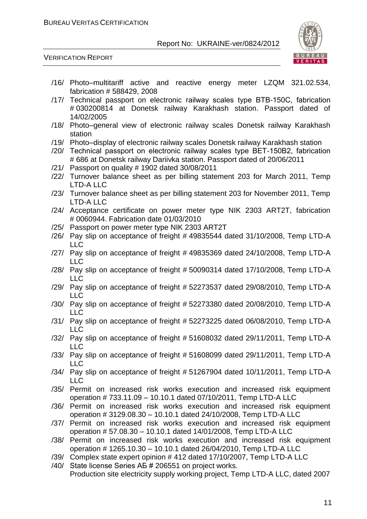

VERIFICATION REPORT

- /16/ Photo–multitariff active and reactive energy meter LZQM 321.02.534, fabrication # 588429, 2008
- /17/ Technical passport on electronic railway scales type ВТВ-150С, fabrication # 030200814 at Donetsk railway Karakhash station. Passport dated of 14/02/2005
- /18/ Photo–general view of electronic railway scales Donetsk railway Karakhash station
- /19/ Photo–display of electronic railway scales Donetsk railway Karakhash station
- /20/ Technical passport on electronic railway scales type ВЕТ-150В2, fabrication # 686 at Donetsk railway Dariivka station. Passport dated of 20/06/2011
- /21/ Passport on quality # 1902 dated 30/08/2011
- /22/ Turnover balance sheet as per billing statement 203 for March 2011, Temp LTD-A LLC
- /23/ Turnover balance sheet as per billing statement 203 for November 2011, Temp LTD-A LLC
- /24/ Acceptance certificate on power meter type NIK 2303 ART2T, fabrication # 0060944. Fabrication date 01/03/2010
- /25/ Passport on power meter type NIK 2303 ART2T
- /26/ Pay slip on acceptance of freight # 49835544 dated 31/10/2008, Temp LTD-A LLC
- /27/ Pay slip on acceptance of freight # 49835369 dated 24/10/2008, Temp LTD-A  $\sqcup$  C
- /28/ Pay slip on acceptance of freight # 50090314 dated 17/10/2008, Temp LTD-A LLC
- /29/ Pay slip on acceptance of freight # 52273537 dated 29/08/2010, Temp LTD-A LLC
- /30/ Pay slip on acceptance of freight # 52273380 dated 20/08/2010, Temp LTD-A LLC
- /31/ Pay slip on acceptance of freight # 52273225 dated 06/08/2010, Temp LTD-A LLC
- /32/ Pay slip on acceptance of freight # 51608032 dated 29/11/2011, Temp LTD-A LLC
- /33/ Pay slip on acceptance of freight # 51608099 dated 29/11/2011, Temp LTD-A LLC
- /34/ Pay slip on acceptance of freight # 51267904 dated 10/11/2011, Temp LTD-A LLC
- /35/ Permit on increased risk works execution and increased risk equipment operation # 733.11.09 – 10.10.1 dated 07/10/2011, Temp LTD-A LLC
- /36/ Permit on increased risk works execution and increased risk equipment operation # 3129.08.30 – 10.10.1 dated 24/10/2008, Temp LTD-A LLC
- /37/ Permit on increased risk works execution and increased risk equipment operation # 57.08.30 – 10.10.1 dated 14/01/2008, Temp LTD-A LLC
- /38/ Permit on increased risk works execution and increased risk equipment operation # 1265.10.30 – 10.10.1 dated 26/04/2010, Temp LTD-A LLC
- /39/ Complex state expert opinion # 412 dated 17/10/2007, Temp LTD-A LLC
- /40/ State license Series АБ # 206551 on project works. Production site electricity supply working project, Temp LTD-A LLC, dated 2007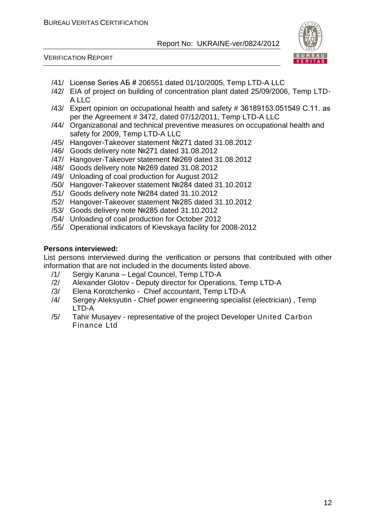



- /41/ License Series АБ # 206551 dated 01/10/2005, Temp LTD-A LLC
- /42/ EIA of project on building of concentration plant dated 25/09/2006, Temp LTD-A LLC
- /43/ Expert opinion on occupational health and safety # 36189153.051549 С.11. as per the Agreement # 3472, dated 07/12/2011, Temp LTD-A LLC
- /44/ Organizational and technical preventive measures on occupational health and safety for 2009, Temp LTD-A LLC
- /45/ Hangover-Takeover statement №271 dated 31.08.2012
- /46/ Goods delivery note №271 dated 31.08.2012
- /47/ Hangover-Takeover statement №269 dated 31.08.2012
- /48/ Goods delivery note №269 dated 31.08.2012
- /49/ Unloading of coal production for August 2012
- /50/ Hangover-Takeover statement №284 dated 31.10.2012
- /51/ Goods delivery note №284 dated 31.10.2012
- /52/ Hangover-Takeover statement №285 dated 31.10.2012
- /53/ Goods delivery note №285 dated 31.10.2012
- /54/ Unloading of coal production for October 2012
- /55/ Operational indicators of Kievskaya facility for 2008-2012

#### **Persons interviewed:**

List persons interviewed during the verification or persons that contributed with other information that are not included in the documents listed above.

- /1/ Sergiy Karuna Legal Councel, Temp LTD-A
- /2/ Alexander Glotov Deputy director for Operations, Temp LTD-A
- /3/ Elena Korotchenko Chief accountant, Temp LTD-A
- /4/ Sergey Aleksyutin Chief power engineering specialist (electrician) , Temp LTD-A
- /5/ Tahir Musayev representative of the project Developer United Carbon Finance Ltd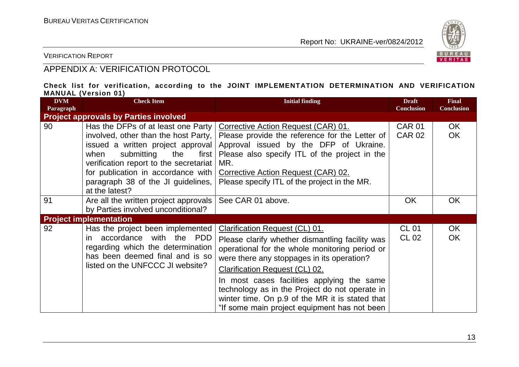

VERIFICATION REPORT

#### APPENDIX A: VERIFICATION PROTOCOL

#### **Check list for verification, according to the JOINT IMPLEMENTATION DETERMINATION AND VERIFICATION MANUAL (Version 01)**

| <b>DVM</b><br>Paragraph | <b>Check Item</b>                                                                                                                                                                                                                                                                               | <b>Initial finding</b>                                                                                                                                                                                                                                                                                                                                                                                                        | <b>Draft</b><br><b>Conclusion</b> | <b>Final</b><br><b>Conclusion</b> |
|-------------------------|-------------------------------------------------------------------------------------------------------------------------------------------------------------------------------------------------------------------------------------------------------------------------------------------------|-------------------------------------------------------------------------------------------------------------------------------------------------------------------------------------------------------------------------------------------------------------------------------------------------------------------------------------------------------------------------------------------------------------------------------|-----------------------------------|-----------------------------------|
|                         | <b>Project approvals by Parties involved</b>                                                                                                                                                                                                                                                    |                                                                                                                                                                                                                                                                                                                                                                                                                               |                                   |                                   |
| 90                      | Has the DFPs of at least one Party<br>involved, other than the host Party,<br>issued a written project approval<br>submitting<br>when<br>the<br>first  <br>verification report to the secretariat<br>for publication in accordance with<br>paragraph 38 of the JI guidelines,<br>at the latest? | Corrective Action Request (CAR) 01.<br>Please provide the reference for the Letter of<br>Approval issued by the DFP of Ukraine.<br>Please also specify ITL of the project in the<br>MR.<br>Corrective Action Request (CAR) 02.<br>Please specify ITL of the project in the MR.                                                                                                                                                | <b>CAR 01</b><br><b>CAR 02</b>    | OK.<br><b>OK</b>                  |
| 91                      | Are all the written project approvals<br>by Parties involved unconditional?                                                                                                                                                                                                                     | See CAR 01 above.                                                                                                                                                                                                                                                                                                                                                                                                             | <b>OK</b>                         | <b>OK</b>                         |
|                         | <b>Project implementation</b>                                                                                                                                                                                                                                                                   |                                                                                                                                                                                                                                                                                                                                                                                                                               |                                   |                                   |
| 92                      | Has the project been implemented<br>accordance with the PDD<br>in.<br>regarding which the determination<br>has been deemed final and is so<br>listed on the UNFCCC JI website?                                                                                                                  | Clarification Request (CL) 01.<br>Please clarify whether dismantling facility was<br>operational for the whole monitoring period or<br>were there any stoppages in its operation?<br><b>Clarification Request (CL) 02.</b><br>In most cases facilities applying the same<br>technology as in the Project do not operate in<br>winter time. On p.9 of the MR it is stated that<br>"If some main project equipment has not been | <b>CL 01</b><br>CL 02             | OK<br><b>OK</b>                   |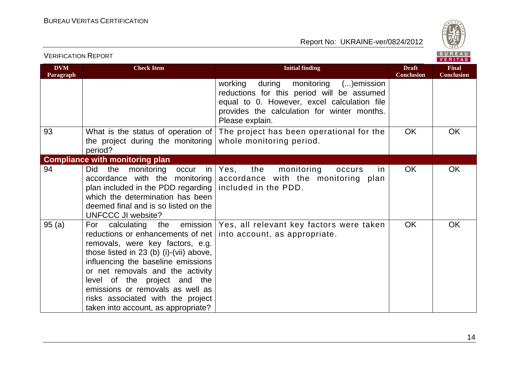

| <b>VERIFICATION REPORT</b> |                                                                                                                                                                                                                                                                                                                                                                            |                                                                                                                                                                                                        |                                   | BUREAU<br>VERITAS                 |
|----------------------------|----------------------------------------------------------------------------------------------------------------------------------------------------------------------------------------------------------------------------------------------------------------------------------------------------------------------------------------------------------------------------|--------------------------------------------------------------------------------------------------------------------------------------------------------------------------------------------------------|-----------------------------------|-----------------------------------|
| <b>DVM</b><br>Paragraph    | <b>Check Item</b>                                                                                                                                                                                                                                                                                                                                                          | <b>Initial finding</b>                                                                                                                                                                                 | <b>Draft</b><br><b>Conclusion</b> | <b>Final</b><br><b>Conclusion</b> |
|                            |                                                                                                                                                                                                                                                                                                                                                                            | working<br>during monitoring ()emission<br>reductions for this period will be assumed<br>equal to 0. However, excel calculation file<br>provides the calculation for winter months.<br>Please explain. |                                   |                                   |
| 93                         | What is the status of operation of<br>the project during the monitoring<br>period?                                                                                                                                                                                                                                                                                         | The project has been operational for the<br>whole monitoring period.                                                                                                                                   | <b>OK</b>                         | <b>OK</b>                         |
|                            | <b>Compliance with monitoring plan</b>                                                                                                                                                                                                                                                                                                                                     |                                                                                                                                                                                                        |                                   |                                   |
| 94                         | Did<br>the<br>monitoring<br>in<br>occur<br>accordance with the monitoring<br>plan included in the PDD regarding<br>which the determination has been<br>deemed final and is so listed on the<br><b>UNFCCC JI website?</b>                                                                                                                                                   | Yes, the monitoring<br>in.<br>occurs<br>accordance with the monitoring plan<br>included in the PDD.                                                                                                    | <b>OK</b>                         | <b>OK</b>                         |
| 95(a)                      | reductions or enhancements of net   into account, as appropriate.<br>removals, were key factors, e.g.<br>those listed in 23 (b) (i)-(vii) above,<br>influencing the baseline emissions<br>or net removals and the activity<br>level of the project and the<br>emissions or removals as well as<br>risks associated with the project<br>taken into account, as appropriate? | For calculating the emission Yes, all relevant key factors were taken                                                                                                                                  | <b>OK</b>                         | <b>OK</b>                         |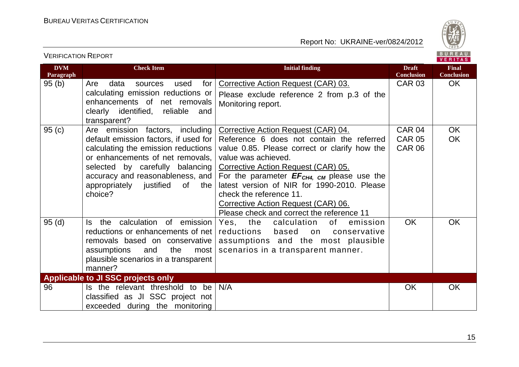

| <b>VERIFICATION REPORT</b> |                                                                                                                                                                                                                                                                            |                                                                                                                                                                                                                                                                                                                                                                                                                  |                                                 | BUREAU<br><b>VERITAS</b>          |
|----------------------------|----------------------------------------------------------------------------------------------------------------------------------------------------------------------------------------------------------------------------------------------------------------------------|------------------------------------------------------------------------------------------------------------------------------------------------------------------------------------------------------------------------------------------------------------------------------------------------------------------------------------------------------------------------------------------------------------------|-------------------------------------------------|-----------------------------------|
| <b>DVM</b><br>Paragraph    | <b>Check Item</b>                                                                                                                                                                                                                                                          | <b>Initial finding</b>                                                                                                                                                                                                                                                                                                                                                                                           | <b>Draft</b><br><b>Conclusion</b>               | <b>Final</b><br><b>Conclusion</b> |
| 95(b)                      | Are<br>for<br>data<br>used<br>sources<br>calculating emission reductions or<br>enhancements of net removals<br>clearly identified, reliable<br>and<br>transparent?                                                                                                         | Corrective Action Request (CAR) 03.<br>Please exclude reference 2 from p.3 of the<br>Monitoring report.                                                                                                                                                                                                                                                                                                          | <b>CAR 03</b>                                   | OK.                               |
| 95(c)                      | Are emission factors, including<br>default emission factors, if used for<br>calculating the emission reductions<br>or enhancements of net removals,<br>selected by carefully balancing<br>accuracy and reasonableness, and<br>appropriately justified of<br>the<br>choice? | Corrective Action Request (CAR) 04.<br>Reference 6 does not contain the referred<br>value 0.85. Please correct or clarify how the<br>value was achieved.<br>Corrective Action Request (CAR) 05.<br>For the parameter $EF_{CH4, CM}$ please use the<br>latest version of NIR for 1990-2010. Please<br>check the reference 11.<br>Corrective Action Request (CAR) 06.<br>Please check and correct the reference 11 | <b>CAR 04</b><br><b>CAR 05</b><br><b>CAR 06</b> | <b>OK</b><br><b>OK</b>            |
| 95(d)                      | the calculation of emission<br>ls l<br>reductions or enhancements of net<br>removals based on conservative<br>assumptions<br>and<br>the<br>most<br>plausible scenarios in a transparent<br>manner?                                                                         | Yes, the<br>calculation<br>of<br>emission<br>reductions<br>based<br>conservative<br>on<br>assumptions and the most plausible<br>scenarios in a transparent manner.                                                                                                                                                                                                                                               | <b>OK</b>                                       | <b>OK</b>                         |
|                            | Applicable to JI SSC projects only                                                                                                                                                                                                                                         |                                                                                                                                                                                                                                                                                                                                                                                                                  |                                                 |                                   |
| 96                         | Is the relevant threshold to be<br>classified as JI SSC project not<br>exceeded during the monitoring                                                                                                                                                                      | N/A                                                                                                                                                                                                                                                                                                                                                                                                              | <b>OK</b>                                       | <b>OK</b>                         |

15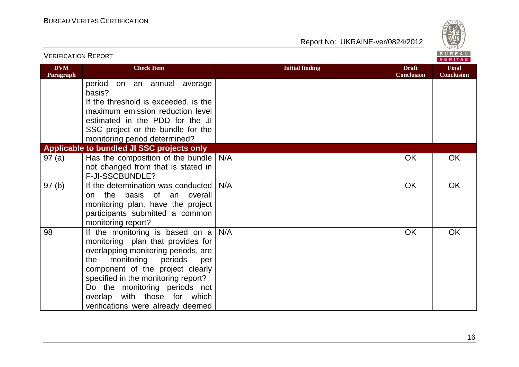

| <b>VERIFICATION REPORT</b> |                                                                                                                                                                                                                                                                                                                                            |                        |                                   | BUREAU<br><b>VERITAS</b>          |
|----------------------------|--------------------------------------------------------------------------------------------------------------------------------------------------------------------------------------------------------------------------------------------------------------------------------------------------------------------------------------------|------------------------|-----------------------------------|-----------------------------------|
| <b>DVM</b><br>Paragraph    | <b>Check Item</b>                                                                                                                                                                                                                                                                                                                          | <b>Initial finding</b> | <b>Draft</b><br><b>Conclusion</b> | <b>Final</b><br><b>Conclusion</b> |
|                            | period<br>on an annual average<br>basis?                                                                                                                                                                                                                                                                                                   |                        |                                   |                                   |
|                            | If the threshold is exceeded, is the                                                                                                                                                                                                                                                                                                       |                        |                                   |                                   |
|                            | maximum emission reduction level                                                                                                                                                                                                                                                                                                           |                        |                                   |                                   |
|                            | estimated in the PDD for the JI                                                                                                                                                                                                                                                                                                            |                        |                                   |                                   |
|                            | SSC project or the bundle for the                                                                                                                                                                                                                                                                                                          |                        |                                   |                                   |
|                            | monitoring period determined?<br>Applicable to bundled JI SSC projects only                                                                                                                                                                                                                                                                |                        |                                   |                                   |
| 97(a)                      | Has the composition of the bundle                                                                                                                                                                                                                                                                                                          | N/A                    | OK                                | OK                                |
|                            | not changed from that is stated in                                                                                                                                                                                                                                                                                                         |                        |                                   |                                   |
|                            | F-JI-SSCBUNDLE?                                                                                                                                                                                                                                                                                                                            |                        |                                   |                                   |
| 97(b)                      | If the determination was conducted<br>the basis of an overall<br>on<br>monitoring plan, have the project<br>participants submitted a common<br>monitoring report?                                                                                                                                                                          | N/A                    | OK                                | OK                                |
| 98                         | If the monitoring is based on $a \mid$<br>monitoring plan that provides for<br>overlapping monitoring periods, are<br>monitoring<br>periods<br>the<br>per<br>component of the project clearly<br>specified in the monitoring report?<br>Do the monitoring periods not<br>overlap with those for which<br>verifications were already deemed | N/A                    | OK                                | OK                                |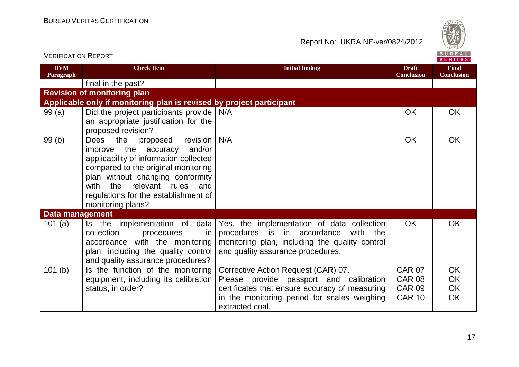

| <b>VERIFICATION REPORT</b> |                                                                                                                                                                                                                                                                                        |                                                                                                                                                                                    |                                   | BUREAU<br><b>VERITAS</b>          |
|----------------------------|----------------------------------------------------------------------------------------------------------------------------------------------------------------------------------------------------------------------------------------------------------------------------------------|------------------------------------------------------------------------------------------------------------------------------------------------------------------------------------|-----------------------------------|-----------------------------------|
| <b>DVM</b><br>Paragraph    | <b>Check Item</b>                                                                                                                                                                                                                                                                      | <b>Initial finding</b>                                                                                                                                                             | <b>Draft</b><br><b>Conclusion</b> | <b>Final</b><br><b>Conclusion</b> |
|                            | final in the past?                                                                                                                                                                                                                                                                     |                                                                                                                                                                                    |                                   |                                   |
|                            | <b>Revision of monitoring plan</b>                                                                                                                                                                                                                                                     |                                                                                                                                                                                    |                                   |                                   |
|                            | Applicable only if monitoring plan is revised by project participant                                                                                                                                                                                                                   |                                                                                                                                                                                    |                                   |                                   |
| 99(a)                      | Did the project participants provide<br>an appropriate justification for the<br>proposed revision?                                                                                                                                                                                     | N/A                                                                                                                                                                                | <b>OK</b>                         | <b>OK</b>                         |
| 99(b)                      | the<br>revision<br>Does<br>proposed<br>improve the accuracy<br>and/or<br>applicability of information collected<br>compared to the original monitoring<br>plan without changing conformity<br>with the relevant rules and<br>regulations for the establishment of<br>monitoring plans? | N/A                                                                                                                                                                                | <b>OK</b>                         | OK                                |
| <b>Data management</b>     |                                                                                                                                                                                                                                                                                        |                                                                                                                                                                                    |                                   |                                   |
| 101 $(a)$                  | Is the implementation of data<br>collection<br>procedures<br>in.<br>accordance with the monitoring<br>plan, including the quality control<br>and quality assurance procedures?                                                                                                         | Yes, the implementation of data collection<br>procedures is in<br>accordance<br>with<br>the<br>monitoring plan, including the quality control<br>and quality assurance procedures. | OK.                               | <b>OK</b>                         |
| 101 <sub>(b)</sub>         | Is the function of the monitoring                                                                                                                                                                                                                                                      | Corrective Action Request (CAR) 07.                                                                                                                                                | <b>CAR 07</b>                     | <b>OK</b>                         |
|                            | equipment, including its calibration                                                                                                                                                                                                                                                   | Please provide passport and calibration                                                                                                                                            | <b>CAR 08</b>                     | <b>OK</b>                         |
|                            | status, in order?                                                                                                                                                                                                                                                                      | certificates that ensure accuracy of measuring                                                                                                                                     | <b>CAR 09</b>                     | OK                                |
|                            |                                                                                                                                                                                                                                                                                        | in the monitoring period for scales weighing<br>extracted coal.                                                                                                                    | <b>CAR 10</b>                     | OK                                |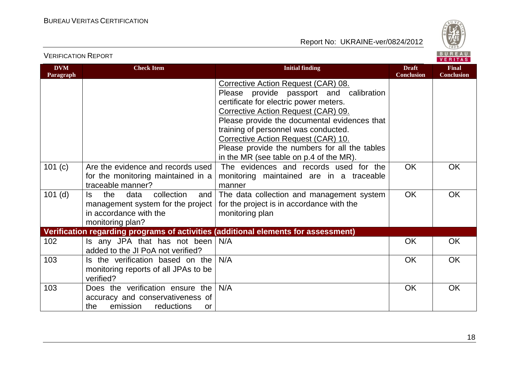

#### VERIFICATION REPORT

| <b>DVM</b> | <b>Check Item</b>                                                                                                          | <b>Initial finding</b>                                                                                                                                                                                                                                                                                                                                                                     | <b>Draft</b>      | <b>Final</b>      |
|------------|----------------------------------------------------------------------------------------------------------------------------|--------------------------------------------------------------------------------------------------------------------------------------------------------------------------------------------------------------------------------------------------------------------------------------------------------------------------------------------------------------------------------------------|-------------------|-------------------|
| Paragraph  |                                                                                                                            | Corrective Action Request (CAR) 08.<br>Please provide passport and calibration<br>certificate for electric power meters.<br>Corrective Action Request (CAR) 09.<br>Please provide the documental evidences that<br>training of personnel was conducted.<br>Corrective Action Request (CAR) 10.<br>Please provide the numbers for all the tables<br>in the MR (see table on p.4 of the MR). | <b>Conclusion</b> | <b>Conclusion</b> |
| 101 (c)    | Are the evidence and records used<br>for the monitoring maintained in a<br>traceable manner?                               | The evidences and records used for the<br>monitoring maintained are in a traceable<br>manner                                                                                                                                                                                                                                                                                               | <b>OK</b>         | OK                |
| $101$ (d)  | collection<br>the<br>data<br>ls.<br>and<br>management system for the project<br>in accordance with the<br>monitoring plan? | The data collection and management system<br>for the project is in accordance with the<br>monitoring plan                                                                                                                                                                                                                                                                                  | <b>OK</b>         | OK.               |
|            |                                                                                                                            | Verification regarding programs of activities (additional elements for assessment)                                                                                                                                                                                                                                                                                                         |                   |                   |
| 102        | Is any JPA that has not been<br>added to the JI PoA not verified?                                                          | N/A                                                                                                                                                                                                                                                                                                                                                                                        | <b>OK</b>         | <b>OK</b>         |
| 103        | Is the verification based on the<br>monitoring reports of all JPAs to be<br>verified?                                      | N/A                                                                                                                                                                                                                                                                                                                                                                                        | <b>OK</b>         | <b>OK</b>         |
| 103        | Does the verification ensure the<br>accuracy and conservativeness of<br>emission<br>reductions<br>the<br><b>or</b>         | N/A                                                                                                                                                                                                                                                                                                                                                                                        | <b>OK</b>         | <b>OK</b>         |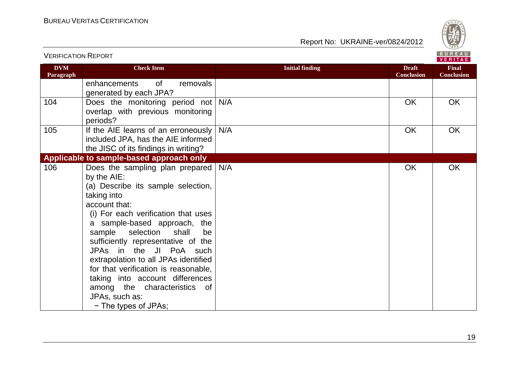

| <b>VERIFICATION REPORT</b> |                                                                                                                                                                                                                                                                                                                                                                                                                                                                                                    |                        |                                   | BUREAU<br><b>VERITAS</b>          |
|----------------------------|----------------------------------------------------------------------------------------------------------------------------------------------------------------------------------------------------------------------------------------------------------------------------------------------------------------------------------------------------------------------------------------------------------------------------------------------------------------------------------------------------|------------------------|-----------------------------------|-----------------------------------|
| <b>DVM</b><br>Paragraph    | <b>Check Item</b>                                                                                                                                                                                                                                                                                                                                                                                                                                                                                  | <b>Initial finding</b> | <b>Draft</b><br><b>Conclusion</b> | <b>Final</b><br><b>Conclusion</b> |
|                            | enhancements<br>0f<br>removals<br>generated by each JPA?                                                                                                                                                                                                                                                                                                                                                                                                                                           |                        |                                   |                                   |
| 104                        | Does the monitoring period not N/A<br>overlap with previous monitoring<br>periods?                                                                                                                                                                                                                                                                                                                                                                                                                 |                        | <b>OK</b>                         | OK                                |
| 105                        | If the AIE learns of an erroneously<br>included JPA, has the AIE informed<br>the JISC of its findings in writing?                                                                                                                                                                                                                                                                                                                                                                                  | N/A                    | OK                                | OK                                |
|                            | Applicable to sample-based approach only                                                                                                                                                                                                                                                                                                                                                                                                                                                           |                        |                                   |                                   |
| 106                        | Does the sampling plan prepared   N/A<br>by the AIE:<br>(a) Describe its sample selection,<br>taking into<br>account that:<br>(i) For each verification that uses<br>a sample-based approach, the<br>shall<br>sample selection<br>be<br>sufficiently representative of the<br>JPAs in the JI PoA such<br>extrapolation to all JPAs identified<br>for that verification is reasonable,<br>taking into account differences<br>among the characteristics of<br>JPAs, such as:<br>- The types of JPAs; |                        | <b>OK</b>                         | <b>OK</b>                         |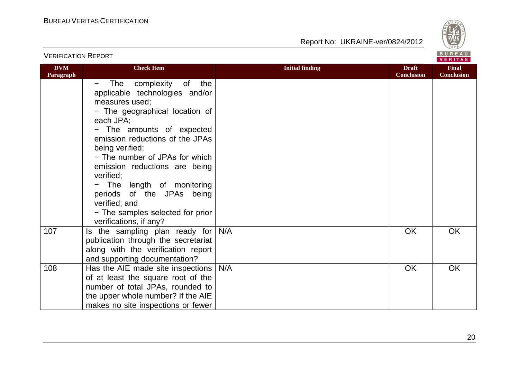

|                         |                                                                                                                                                                                                                         |                        | <b>VERITAS</b>                    |                                   |
|-------------------------|-------------------------------------------------------------------------------------------------------------------------------------------------------------------------------------------------------------------------|------------------------|-----------------------------------|-----------------------------------|
| <b>DVM</b><br>Paragraph | <b>Check Item</b>                                                                                                                                                                                                       | <b>Initial finding</b> | <b>Draft</b><br><b>Conclusion</b> | <b>Final</b><br><b>Conclusion</b> |
|                         | The complexity of<br>the<br>$\overline{\phantom{m}}$<br>applicable technologies and/or<br>measures used;<br>- The geographical location of<br>each JPA;<br>- The amounts of expected<br>emission reductions of the JPAs |                        |                                   |                                   |
|                         | being verified;<br>- The number of JPAs for which<br>emission reductions are being<br>verified;                                                                                                                         |                        |                                   |                                   |
|                         | - The length of monitoring<br>periods of the JPAs being<br>verified; and<br>- The samples selected for prior<br>verifications, if any?                                                                                  |                        |                                   |                                   |
| 107                     | Is the sampling plan ready for<br>publication through the secretariat<br>along with the verification report<br>and supporting documentation?                                                                            | N/A                    | <b>OK</b>                         | <b>OK</b>                         |
| 108                     | Has the AIE made site inspections<br>of at least the square root of the<br>number of total JPAs, rounded to<br>the upper whole number? If the AIE<br>makes no site inspections or fewer                                 | N/A                    | OK                                | OK                                |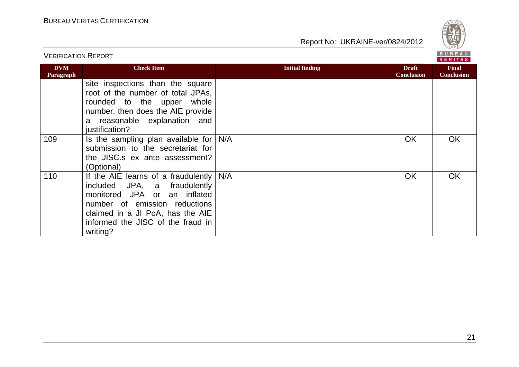

| <b>VERIFICATION REPORT</b> |                                                                                                                                                                                                                           |                        |                                   | <b>BUREAU</b><br><b>VERITAS</b>   |
|----------------------------|---------------------------------------------------------------------------------------------------------------------------------------------------------------------------------------------------------------------------|------------------------|-----------------------------------|-----------------------------------|
| <b>DVM</b><br>Paragraph    | <b>Check Item</b>                                                                                                                                                                                                         | <b>Initial finding</b> | <b>Draft</b><br><b>Conclusion</b> | <b>Final</b><br><b>Conclusion</b> |
|                            | site inspections than the square<br>root of the number of total JPAs,<br>rounded to the upper<br>whole<br>number, then does the AIE provide<br>a reasonable explanation and<br>justification?                             |                        |                                   |                                   |
| 109                        | Is the sampling plan available for<br>submission to the secretariat for<br>the JISC.s ex ante assessment?<br>(Optional)                                                                                                   | N/A                    | OK                                | OK                                |
| 110                        | If the AIE learns of a fraudulently<br>included JPA, a fraudulently<br>monitored JPA or an inflated<br>number of emission reductions<br>claimed in a JI PoA, has the AIE<br>informed the JISC of the fraud in<br>writing? | N/A                    | OK                                | <b>OK</b>                         |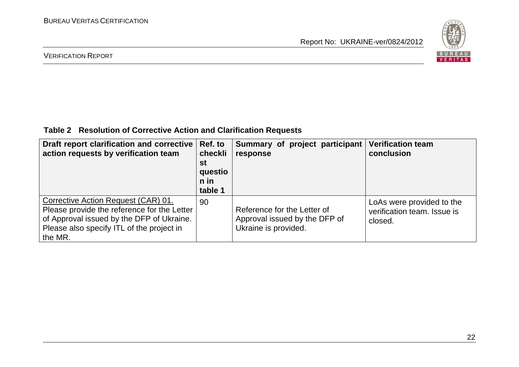

#### VERIFICATION REPORT

### **Table 2 Resolution of Corrective Action and Clarification Requests**

| Draft report clarification and corrective<br>action requests by verification team                                                                                                       | Ref. to<br>checkli<br>st<br>questio<br>n in<br>table 1 | Summary of project participant<br>response                                           | <b>Verification team</b><br>conclusion                              |
|-----------------------------------------------------------------------------------------------------------------------------------------------------------------------------------------|--------------------------------------------------------|--------------------------------------------------------------------------------------|---------------------------------------------------------------------|
| Corrective Action Request (CAR) 01.<br>Please provide the reference for the Letter<br>of Approval issued by the DFP of Ukraine.<br>Please also specify ITL of the project in<br>the MR. | 90                                                     | Reference for the Letter of<br>Approval issued by the DFP of<br>Ukraine is provided. | LoAs were provided to the<br>verification team. Issue is<br>closed. |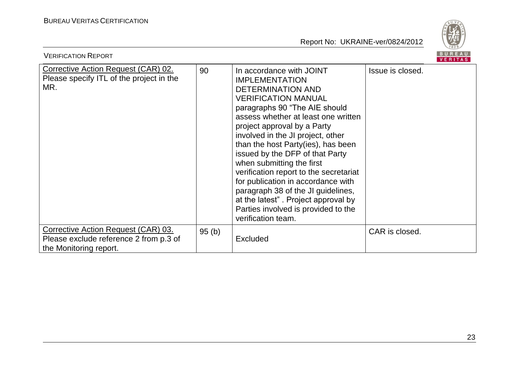

| <b>VERIFICATION REPORT</b>                                                                              |       |                                                                                                                                                                                                                                                                                                                                                                                                                                                                                                                                                                                         | B U R E A U<br>VERITAS |
|---------------------------------------------------------------------------------------------------------|-------|-----------------------------------------------------------------------------------------------------------------------------------------------------------------------------------------------------------------------------------------------------------------------------------------------------------------------------------------------------------------------------------------------------------------------------------------------------------------------------------------------------------------------------------------------------------------------------------------|------------------------|
| Corrective Action Request (CAR) 02.<br>Please specify ITL of the project in the<br>MR.                  | 90    | In accordance with JOINT<br><b>IMPLEMENTATION</b><br><b>DETERMINATION AND</b><br><b>VERIFICATION MANUAL</b><br>paragraphs 90 "The AIE should<br>assess whether at least one written<br>project approval by a Party<br>involved in the JI project, other<br>than the host Party(ies), has been<br>issued by the DFP of that Party<br>when submitting the first<br>verification report to the secretariat<br>for publication in accordance with<br>paragraph 38 of the JI guidelines,<br>at the latest". Project approval by<br>Parties involved is provided to the<br>verification team. | Issue is closed.       |
| Corrective Action Request (CAR) 03.<br>Please exclude reference 2 from p.3 of<br>the Monitoring report. | 95(b) | <b>Excluded</b>                                                                                                                                                                                                                                                                                                                                                                                                                                                                                                                                                                         | CAR is closed.         |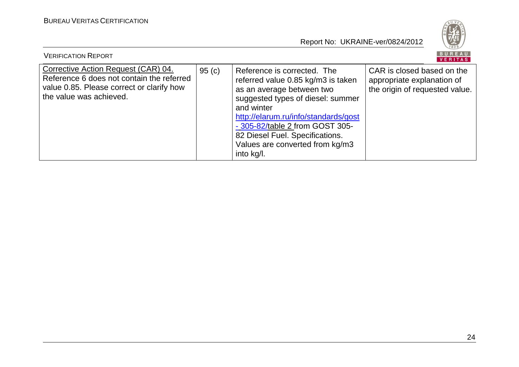

| <b>VERIFICATION REPORT</b>                                                                                                                               |       |                                                                                                                                                                                                                                                                                                                  | BUREAU<br>VERITAS                                                                          |
|----------------------------------------------------------------------------------------------------------------------------------------------------------|-------|------------------------------------------------------------------------------------------------------------------------------------------------------------------------------------------------------------------------------------------------------------------------------------------------------------------|--------------------------------------------------------------------------------------------|
| Corrective Action Request (CAR) 04.<br>Reference 6 does not contain the referred<br>value 0.85. Please correct or clarify how<br>the value was achieved. | 95(c) | Reference is corrected. The<br>referred value 0.85 kg/m3 is taken<br>as an average between two<br>suggested types of diesel: summer<br>and winter<br>http://elarum.ru/info/standards/gost<br>- 305-82/table 2 from GOST 305-<br>82 Diesel Fuel. Specifications.<br>Values are converted from kg/m3<br>into kg/l. | CAR is closed based on the<br>appropriate explanation of<br>the origin of requested value. |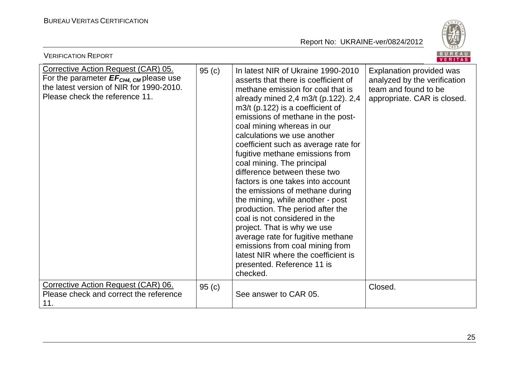

| <b>VERIFICATION REPORT</b>                                                                                                                                                     |                   |                                                                                                                                                                                                                                                                                                                                                                                                                                                                                                                                                                                                                                                                                                                                                                                                                  | BUREAU<br><b>VERITAS</b>                                                                                        |
|--------------------------------------------------------------------------------------------------------------------------------------------------------------------------------|-------------------|------------------------------------------------------------------------------------------------------------------------------------------------------------------------------------------------------------------------------------------------------------------------------------------------------------------------------------------------------------------------------------------------------------------------------------------------------------------------------------------------------------------------------------------------------------------------------------------------------------------------------------------------------------------------------------------------------------------------------------------------------------------------------------------------------------------|-----------------------------------------------------------------------------------------------------------------|
| <b>Corrective Action Request (CAR) 05.</b><br>For the parameter $EF_{CH4, \text{CM}}$ please use<br>the latest version of NIR for 1990-2010.<br>Please check the reference 11. | 95(c)             | In latest NIR of Ukraine 1990-2010<br>asserts that there is coefficient of<br>methane emission for coal that is<br>already mined 2,4 m3/t (p.122). 2,4<br>$m3/t$ (p.122) is a coefficient of<br>emissions of methane in the post-<br>coal mining whereas in our<br>calculations we use another<br>coefficient such as average rate for<br>fugitive methane emissions from<br>coal mining. The principal<br>difference between these two<br>factors is one takes into account<br>the emissions of methane during<br>the mining, while another - post<br>production. The period after the<br>coal is not considered in the<br>project. That is why we use<br>average rate for fugitive methane<br>emissions from coal mining from<br>latest NIR where the coefficient is<br>presented. Reference 11 is<br>checked. | Explanation provided was<br>analyzed by the verification<br>team and found to be<br>appropriate. CAR is closed. |
| Corrective Action Request (CAR) 06.<br>Please check and correct the reference<br>11.                                                                                           | 95 <sub>(c)</sub> | See answer to CAR 05.                                                                                                                                                                                                                                                                                                                                                                                                                                                                                                                                                                                                                                                                                                                                                                                            | Closed.                                                                                                         |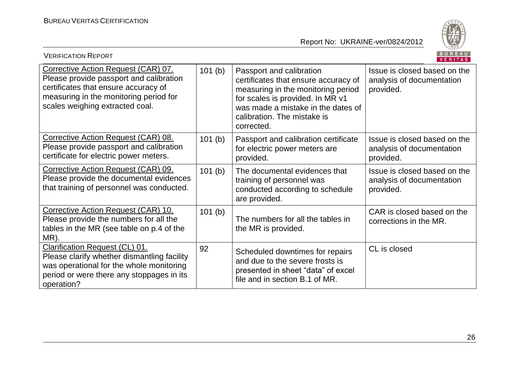

| <b>VERIFICATION REPORT</b>                                                                                                                                                                          |        |                                                                                                                                                                                                                               | <b>BUREAU</b><br><b>VERITAS</b>                                        |
|-----------------------------------------------------------------------------------------------------------------------------------------------------------------------------------------------------|--------|-------------------------------------------------------------------------------------------------------------------------------------------------------------------------------------------------------------------------------|------------------------------------------------------------------------|
| Corrective Action Request (CAR) 07.<br>Please provide passport and calibration<br>certificates that ensure accuracy of<br>measuring in the monitoring period for<br>scales weighing extracted coal. | 101(b) | Passport and calibration<br>certificates that ensure accuracy of<br>measuring in the monitoring period<br>for scales is provided. In MR v1<br>was made a mistake in the dates of<br>calibration. The mistake is<br>corrected. | Issue is closed based on the<br>analysis of documentation<br>provided. |
| Corrective Action Request (CAR) 08.<br>Please provide passport and calibration<br>certificate for electric power meters.                                                                            | 101(b) | Passport and calibration certificate<br>for electric power meters are<br>provided.                                                                                                                                            | Issue is closed based on the<br>analysis of documentation<br>provided. |
| Corrective Action Request (CAR) 09.<br>Please provide the documental evidences<br>that training of personnel was conducted.                                                                         | 101(b) | The documental evidences that<br>training of personnel was<br>conducted according to schedule<br>are provided.                                                                                                                | Issue is closed based on the<br>analysis of documentation<br>provided. |
| Corrective Action Request (CAR) 10.<br>Please provide the numbers for all the<br>tables in the MR (see table on p.4 of the<br>MR).                                                                  | 101(b) | The numbers for all the tables in<br>the MR is provided.                                                                                                                                                                      | CAR is closed based on the<br>corrections in the MR.                   |
| Clarification Request (CL) 01.<br>Please clarify whether dismantling facility<br>was operational for the whole monitoring<br>period or were there any stoppages in its<br>operation?                | 92     | Scheduled downtimes for repairs<br>and due to the severe frosts is<br>presented in sheet "data" of excel<br>file and in section B.1 of MR.                                                                                    | CL is closed                                                           |